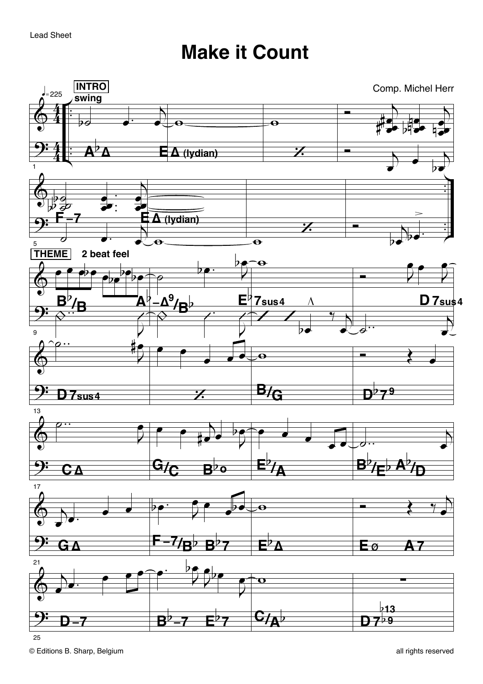## **Make it Count**

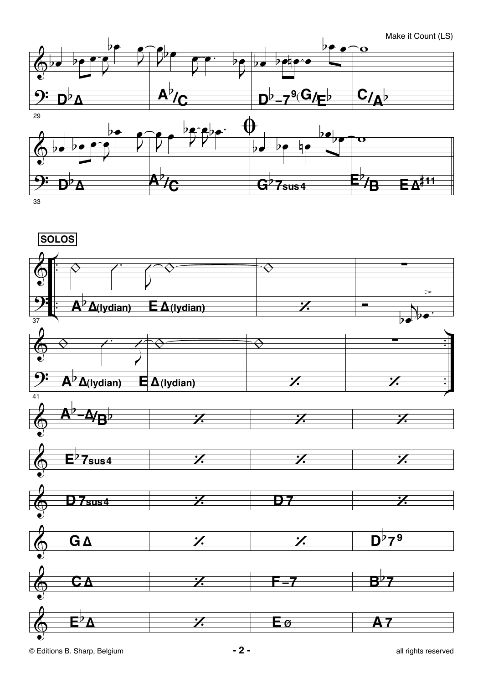